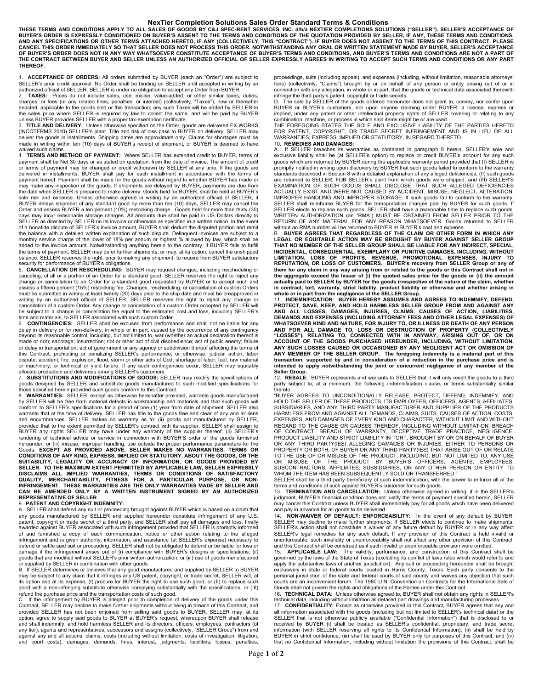## **NexTier Completion Solutions Sales Order Standard Terms & Conditions**

THESE TERMS AND CONDITIONS APPLY TO ALL SALES OF GOODS BY C&J SPEC-RENT SERVICES, INC. d/b/a NEXTIER COMPLETIONS SOLUTIONS ("SELLER"). SELLER'S ACCEPTANCE OF<br>BUYER'S ORDER IS EXPRESSLY CONDITIONED ON BUYER'S ASSENT TO THE **AND ANY SPECIFICATIONS OR OTHER TERMS ATTACHED HERETO, IF ANY (COLLECTIVELY, THIS "CONTRACT"). IF BUYER DOES NOT ASSENT TO THE TERMS OF THIS CONTRACT, PLEASE**  CANCEL THIS ORDER IMMEDIATELY SO THAT SELLER DOES NOT PROCESS THIS ORDER. NOTWITHSTANDING ANY ORAL OR WRITTEN STATEMENT MADE BY BUYER, SELLER'S ACCEPTANCE<br>OF BUYER'S ORDER DOES NOT IN ANY WAY WHATSOEVER CONSTITUTE ACCEPTAN **THE CONTRACT BETWEEN BUYER AND SELLER UNLESS AN AUTHORIZED OFFICIAL OF SELLER EXPRESSLY AGREES IN WRITING TO ACCEPT SUCH TERMS AND CONDITIONS OR ANY PART THEREOF.**

1. **ACCEPTANCE OF ORDERS:** All orders submitted by BUYER (each an "Order") are subject to SELLER's prior credit approval. No Order shall be binding on SELLER until accepted in writing by an authorized official of SELLER. SELLER is under no obligation to accept any Order from BUYER.

2. **TAXES:** Prices do not include sales, use, excise, value-added, or other similar taxes, duties, charges, or fees (or any related fines, penalties, or interest) (collectively, "Taxes"), now or thereafter<br>enacted, applicable to the goods sold or this transaction; any such Taxes will be added by SELLER to<br>the sales pric unless BUYER provides SELLER with a proper tax-exemption certificate.

3. **TITLE AND DELIVERY:** Unless otherwise specified on the Order, goods are delivered EX WORKS (INCOTERMS 2010) SELLER's plant. Title and risk of loss pass to BUYER on delivery. SELLER may deliver the goods in installments. Shipping dates are approximate only. Claims for shortages must be made in writing within ten (10) days of BUYER's receipt of shipment, or BUYER is deemed to have waived such claims.

4. **TERMS AND METHOD OF PAYMENT:** Where SELLER has extended credit to BUYER, terms of payment shall be Net 30 days or as stated on quotation, from the date of invoice. The amount of credit<br>or terms of payment may be changed or credit withdrawn by SELLER at any time. If the goods are delivered in installments, BUYER shall pay for each installment in accordance with the terms of payment hereof. Payment shall be made for the goods without regard to whether BUYER has made or may make any inspection of the goods. If shipments are delayed by BUYER, payments are due from the date when SELLER is prepared to make delivery. Goods held for BUYER, shall be held at BUYER's sole risk and expense. Unless otherwise agreed in writing by an authorized official of SELLER, if BUYER delays shipment of any standard good by more than ten (10) days, SELLER may cancel the Order and assess BUYER a ten percent (10%) restocking charge. Goods held for more than thirty (30) days may incur reasonable storage charges. All amounts due shall be paid in US Dollars directly to SELLER as directed by SELLER on its invoice or otherwise as specified in a written notice. In the event of a bonafide dispute of SELLER's invoice amount, BUYER shall deduct the disputed portion and remit the balance with a detailed written explanation of such dispute. Delinquent invoices are subject to a monthly service charge of the lower of 18% per annum or highest % allowed by law, which shall be added to the invoice amount. Notwithstanding anything herein to the contrary, if BUYER fails to fulfill the terms of payment, SELLER may defer further shipments, or may, at its option, cancel the unshipped

balance. SELLER reserves the right, prior to making any shipment, to require from BUYER satisfactory<br>security for performance of BUYER's obligations.<br>5. CANCELLATION OR RESCHEDULING: BUYER may request changes, including change or cancellation to an Order for a standard good requested by BUYER or to accept such and<br>assess a fifteen percent (15%) restocking fee. Changes, rescheduling, or cancellation of custom Orders<br>must be submitted in wr cancellation of a custom Order. Any change or cancellation of a custom Order accepted by SELLER will be subject to a change or cancellation fee equal to the estimated cost and loss, including SELLER's time and materials, to SELLER associated with such custom Order.

6. **CONTINGENCIES:** SELLER shall be excused from performance and shall not be liable for any delay in delivery or for non-delivery, in whole or in part, caused by the occurrence of any contingency beyond its reasonable control, including, but not limited to, war (whether an actual declaration thereof is made or not); sabotage; insurrection; riot or other act of civil disobedience; act of public enemy; failure or delay in transportation; act of government or any agency or subdivision thereof affecting the terms of this Contract, prohibiting or penalizing SELLER's performance, or otherwise; judicial action; labor dispute; accident; fire; explosion; flood; storm or other acts of God; shortage of labor, fuel, raw material or machinery; or technical or yield failure. If any such contingencies occur, SELLER may equitably allocate production and deliveries among SELLER's customers.

7. **SUBSTITUTIONS AND MODIFICATIONS OF GOODS:** SELLER may modify the specifications of goods designed by SELLER and substitute goods manufactured to such modified specifications for those specified herein provided such goods conform to this Contract.

8. **WARRANTIES:** SELLER, except as otherwise hereinafter provided, warrants goods manufactured by SELLER will be free from material defects in workmanship and materials and that such goods will conform to SELLER's specifications for a period of one (1) year from date of shipment. SELLER also warrants that at the time of delivery, SELLER has title to the goods free and clear of any and all liens and encumbrances. SELLER makes no warranty as to: (ii) goods not manufactured by SELLER, provided that to the extent permitted by SELLER's contract with its supplier, SELLER shall assign to BUYER any rights SELLER may have under any warranty of the supplier thereof; (ii) SELLER's rendering of technical advice or service in connection with BUYER'S order of the goods furnished<br>hereunder; or (iii) misuse, improper handling, use outside the proper performance parameters for the<br>Goods. EXCEPT AS PROVIDE SELLER. TO THE MAXIMUM EXTENT PERMITTED BY APPLICABLE LAW, SELLER EXPRESSLY<br>DISCLAIMS ALL IMPLIED WARRANTIES, TERMS OR CONDITIONS OF SATISFACTORY<br>QUALITY, MERCHANTABILITY, FITNESS FOR A PARTICULAR P **CAN BE AMENDED ONLY BY A WRITTEN INSTRUMENT SIGNED BY AN AUTHORIZED** 

## **REPRESENTATIVE OF SELLER**. 9. **PATENT AND COPYRIGHT INDEMNITY:**

A. SELLER shall defend any suit or proceeding brought against BUYER which is based on a claim that any goods manufactured by SELLER and supplied hereunder constitute infringement of any U.S. patent, copyright or trade secret of a third party, and SELLER shall pay all damages and loss, finally awarded against BUYER associated with such infringement provided that SELLER is promptly informed of and furnished a copy of each communication, notice or other action relating to the alleged infringement and is given authority, information, and assistance (at SELLER's expense) necessary to defend or settle said suit or proceeding. SELLER shall not be obligated to defend or be liable for loss or damage if the infringement arises out of (i) compliance with BUYER's designs or specifications; (ii) goods that are modified without SELLER's prior written authorization; or (iii) use of goods manufactured or supplied by SELLER in combination with other goods.

B. If SELLER determines or believes that any good manufactured and supplied by SELLER to BUYER may be subject to any claim that it infringes any US patent, copyright, or trade secret, SELLER will, at its option and at its expense, (I) procure for BUYER the right to use such good, or (II) to replace such good with a non-infringing substitute otherwise complying substantially with the specifications, or (III) refund the purchase price and the transportation costs of such good. C. If the infringement by BUYER is alleged prior to completion of delivery of the goods under this

Contract, SELLER may decline to make further shipments without being in breach of this Contract, and provided SELLER has not been enjoined from selling said goods to BUYER, SELLER may, at its option, agree to supply said goods to BUYER at BUYER's request, whereupon BUYER shall release and shall indemnify, and hold harmless SELLER and its directors, officers, employees, contractors (of any tier), agents and representatives, successors and assigns (collectively, "SELLER Group") from and against any and all actions, claims, costs (including without limitation, costs of investigation, litigation, and court costs), damages, demands, fines, interest, judgments, liabilities, losses, penalties,

proceedings, suits (including appeal), and expenses (including, without limitation, reasonable attorneys' fees) (collectively, "Claims") brought by or on behalf of any person or entity arising out of or in connection with any allegation, in whole or in part, that the goods or technical data associated therewith

infringe the third party's patent, copyright or trade secrets.<br>D. The sale by SELLER of the goods ordered hereunder does not grant to, convey, nor confer upon<br>BUYER or BUYER's customers, nor upon anyone claiming u implied, under any patent or other intellectual property rights of SELLER covering or relating to any<br>combination, machine, or process in which said items might be or are used.<br>THE FOREGOING STATES THE SOLE AND EXCLUSIVE L

FOR PATENT, COPYRIGHT, OR TRADE SECRET INFRINGEMENT AND IS IN LIEU OF ALL WARRANTIES, EXPRESS, IMPLIED OR STATUTORY, IN REGARD THERETO.

10. **REMEDIES AND DAMAGES:** A. If SELLER breaches its warranties as contained in paragraph 8 herein, SELLER's sole and exclusive liability shall be (at SELLER's option) to replace or credit BUYER's account for any such goods which are returned by BUYER during the applicable warranty period provided that (I) SELLER is promptly notified in writing upon discovery by BUYER that such goods failed to conform to the warranty standards described in Section 8 with a detailed explanation of any alleged deficiencies, (II) such goods are returned to SELLER, FOB SELLER's plant from which goods were shipped, and (III) SELLER'S EXAMINATION OF SUCH GOODS SHALL DISCLOSE THAT SUCH ALLEGED DEFICIENCIES ACTUALLY EXIST AND WERE NOT CAUSED BY ACCIDENT, MISUSE, NEGLECT, ALTERATION, IMPROPER HANDLING AND IMPROPER STORAGE: If such goods fail to conform to the warranty, SELLER shall reimburse BUYER for the transportation charges paid by BUYER for such goods. If<br>SELLER elects to replace such goods, SELLER shall have a reasonable time to replace such goods. WRITTEN AUTHORIZATION (an "RMA") MUST BE OBTAINED FROM SELLER PRIOR TO THE<br>RETURN OF ANY MATERIAL FOR ANY REASON WHATSOEVER. Goods returned to SELLER<br>without an RMA numberwill be returned to BUYER at BUYER's cost and expen

B. **BUYER AGREES THAT REGARDLESS OF THE CLAIM OR OTHER FORM IN WHICH ANY LEGAL OR EQUITABLE ACTION MAY BE BROUGHT BY BUYER AGAINST SELLER GROUP THAT NO MEMBER OF THE SELLER GROUP SHALL BE LIABLE FOR ANY INDIRECT, SPECIAL,**  INCIDENTAL, CONSEQUENTIAL, EXEMPLARY OR PUNITIVE DAMAGES, INCLUDING, WITHOUT<br>LIMITATION, LOSS OF PROFITS, REVENUE, PROMOTIONAL EXPENSES, INJURY TO<br>REPUTATION, OR LOSS OF CUSTOMERS. BUYER's recovery from SELLER Gro **them for any claim in any way arising from or related to the goods or this Contract shall not in the aggregate exceed the lesser of (i) the quoted sales price for the goods or (ii) the amount**  actually paid to SELLER by BUYER for the goods irrespective of the nature of the claim, whether<br>in contract, tort, warranty, strict liability, product liability or otherwise and whether arising in<br>whole or in part from the

PROTECT, SAVE, KEEP, AND HOLD HARMLESS SELLER GROUP FROM AND AGAINST ANY<br>AND ALL LOSSES, DAMAGES, INJURIES, CLAIMS, CAUSES OF ACTION, LIABILITIES,<br>DEMANDS AND EXPENSES (INCLUDING ATTORNEY FEES AND OTHER LEGAL EXPENSES) OF WHATSOEVER KIND AND NATURE, FOR INJURY TO, OR ILLNESS OR DEATH OF ANY PERSON<br>AND FOR ALL DAMAGE TO, LOSS OR DESTRUCTION OF PROPERTY (COLLECTIVELY<br>"LOSSES"), RELATING TO, CONNECTED WITH IN ANYWAY, **ACCOUNT OF THE GOODS PURCHASED HEREUNDER, INCLUDING, WITHOUT LIMITATION, ANY SUCH LOSSES CAUSED OR OCCASIONED BY ANY NEGLIGENT ACT OR OMISSION OF**  ANY MEMBER OF THE SELLER GROUP. The foregoing indemnity is a material part of this<br>transaction, supported by and in consideration of a reduction in the purchase price and is<br>intended to apply notwithstanding the joint or c

**Seller Group.**<br>12. RESALE: BUYER represents and warrants to SELLER that it will only resell the goods to a third<br>party subject to, at a minimum, the following indemnification clause, or terms substantially similar thereto:

"BUYER AGREES TO UNCONDITIONALLY RELEASE, PROTECT, DEFEND, INDEMNIFY, AND HOLD THE SELLER OF THESE PRODUCTS, ITS EMPLOYEES, OFFICERS, AGENTS, AFFILIATES, SUBSIDIARIES, AND ANY THIRD PARTY MANUFACTURER AND SUPPLIER OF THE PRODUCTS HARMLESS FROM AND AGAINST ALL DEMANDS, CLAIMS, SUITS, CAUSES OF ACTION, COSTS, EXPENSES, AND DAMAGES OF EVERY KIND AND CHARACTER, WITHOUT LIMIT AND WITHOUT<br>REGARD TO THE CAUSE OR CAUSES THEREOF, INCLUDING WITHOUT LIMITATION, BREACH<br>OF CONTRACT, BREACH OF WARRANTY, DECEPTIVE TRADE PRACTICE, NEGLIGEN OR ANY THIRD PARTY(IES) ALLEGING DAMAGES OR INJURIES, EITHER TO PERSONS OR<br>PROPERTY OR BOTH, OF BUYER OR ANY THIRD PARTY(IES) THAT ARISE OUT OF OR RELATE<br>TO THE USE OF OR MISUSE OF THE PRODUCT, INCLUDING, BUT NOT LIMITED T OR MISUSE OF THE PRODUCT BY BUYER'S OFFICERS, AGENTS, EMPLOYEES,<br>SUBCONTRACTORS, AFFILIATES, SUBSIDIARIES, OR ANY OTHER PERSON OR ENTITY TO<br>WHOMTHEITEMIHASIBEENISUBSEQUENTLYISOLDIORITRANSFERRED."

SELLER shall be a third party beneficiary of such indemnification, with the power to enforce all of the terms and conditions of such against BUYER's customer for such goods.

13. **TERMINATION AND CANCELLATION:** Unless otherwise agreed in writing, if in the SELLER's judgment, BUYER's financial condition does not justify the terms of payment specified herein, SELLER may cancel this Contract unless BUYER shall immediately pay for all goods which have been delivered and pay in advance for all goods to be delivered.<br>14 **NON-WAIVER OF DEFAILLT: ENFORC** 

14. **NON-WAIVER OF DEFAULT; ENFORCEABILITY:** In the event of any default by BUYER, SELLER may decline to make further shipments. If SELLER elects to continue to make shipments, SELLER's action shall not constitute a waiver of any future default by BUYER or in any way affect SELLER's legal remedies for any such default. If any provision of this Contract is held invalid or unenforceable, such invalidity or unenforceability shall not affect any other provision of this Contract, and this Contract shall be construed as if such invalid or unenforceable provision were omitted. 15. **APPLICABLE LAW:** The validity, performance, and construction of this Contract shall be

governed by the laws of the State of Texas (excluding its conflict of laws rules which would refer to and apply the substantive laws of another jurisdiction). Any suit or proceeding hereunder shall be brought exclusively in state or federal courts located in Harris County, Texas. Each party consents to the personal jurisdiction of the state and federal courts of said county and waives any objection that such courts are an inconvenient forum. The 1980 U.N. Convention on Contracts for the International Sale of Goods shall not govern the rights and obligations of the Parties under this Contract.

16. **TECHNICAL DATA:** Unless otherwise agreed to, BUYER shall not obtain any rights in SELLER's technical data, including without limitation all detailed part drawings and manufacturing processes.

17. **CONFIDENTIALITY:** Except as otherwise provided in this Contract, BUYER agrees that any and all information associated with the goods (including but not limited to SELLER's technical data) or the<br>SELLER that is not otherwise publicly available ("Confidential Information") that is disclosed to or<br>received by BUYER BUYER in strict confidence, (iii) shall be used by BUYER only for purposes of this Contract, and (iv) that no Confidential Information, including without limitation the provisions of this Contract, shall be